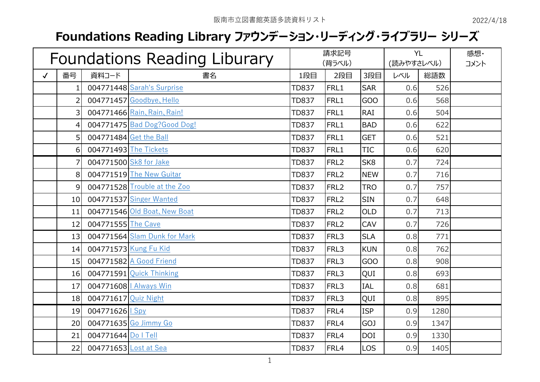## **Foundations Reading Library ファウンデーション・リーディング・ライブラリー シリーズ**

| Foundations Reading Liburary |                 |                        |                              | 請求記号<br>(背ラベル) |                  |                 | <b>YL</b><br>(読みやすさレベル) |      | 感想·<br>コメント |
|------------------------------|-----------------|------------------------|------------------------------|----------------|------------------|-----------------|-------------------------|------|-------------|
| $\checkmark$                 | 番号              | 資料コード                  | 書名                           | 1段目            | 2段目              | 3段目             | レベル                     | 総語数  |             |
|                              |                 |                        | 004771448 Sarah's Surprise   | TD837          | FRL1             | <b>SAR</b>      | 0.6                     | 526  |             |
|                              | 2               |                        | 004771457 Goodbye, Hello     | <b>TD837</b>   | FRL1             | GOO             | 0.6                     | 568  |             |
|                              | 3               |                        | 004771466 Rain, Rain, Rain!  | <b>TD837</b>   | FRL1             | <b>RAI</b>      | 0.6                     | 504  |             |
|                              | 41              |                        | 004771475 Bad Dog?Good Dog!  | <b>TD837</b>   | FRL1             | <b>BAD</b>      | 0.6                     | 622  |             |
|                              | 5               | 004771484 Get the Ball |                              | <b>TD837</b>   | FRL1             | <b>GET</b>      | 0.6                     | 521  |             |
|                              | $6 \mid$        | 004771493 The Tickets  |                              | <b>TD837</b>   | FRL1             | <b>TIC</b>      | 0.6                     | 620  |             |
|                              |                 |                        | 004771500 Sk8 for Jake       | <b>TD837</b>   | FRL <sub>2</sub> | SK <sub>8</sub> | 0.7                     | 724  |             |
|                              | 8               |                        | 004771519 The New Guitar     | <b>TD837</b>   | FRL <sub>2</sub> | <b>NEW</b>      | 0.7                     | 716  |             |
|                              | $\overline{9}$  |                        | 004771528 Trouble at the Zoo | <b>TD837</b>   | FRL <sub>2</sub> | <b>TRO</b>      | 0.7                     | 757  |             |
|                              | 10 <sup>1</sup> |                        | 004771537 Singer Wanted      | <b>TD837</b>   | FRL <sub>2</sub> | <b>SIN</b>      | 0.7                     | 648  |             |
|                              | 11              |                        | 004771546 Old Boat, New Boat | <b>TD837</b>   | FRL <sub>2</sub> | <b>OLD</b>      | 0.7                     | 713  |             |
|                              | 12              | 004771555 The Cave     |                              | <b>TD837</b>   | FRL <sub>2</sub> | CAV             | 0.7                     | 726  |             |
|                              | 13              |                        | 004771564 Slam Dunk for Mark | <b>TD837</b>   | FRL3             | <b>SLA</b>      | 0.8                     | 771  |             |
|                              | 14              |                        | 004771573 Kung Fu Kid        | <b>TD837</b>   | FRL3             | <b>KUN</b>      | 0.8                     | 762  |             |
|                              | 15              |                        | 004771582 A Good Friend      | <b>TD837</b>   | FRL3             | GOO             | 0.8                     | 908  |             |
|                              | 16              |                        | 004771591 Quick Thinking     | <b>TD837</b>   | FRL3             | QUI             | 0.8                     | 693  |             |
|                              | 17              |                        | 004771608   Always Win       | <b>TD837</b>   | FRL3             | <b>IAL</b>      | 0.8                     | 681  |             |
|                              | 18              | 004771617 Quiz Night   |                              | <b>TD837</b>   | FRL3             | QUI             | 0.8                     | 895  |             |
|                              | 19              | 004771626 Spy          |                              | <b>TD837</b>   | FRL4             | <b>ISP</b>      | 0.9                     | 1280 |             |
|                              | 20              |                        | 004771635 Go Jimmy Go        | <b>TD837</b>   | FRL4             | GOJ             | 0.9                     | 1347 |             |
|                              | 21              | 004771644 Do   Tell    |                              | <b>TD837</b>   | FRL4             | <b>DOI</b>      | 0.9                     | 1330 |             |
|                              | 22              | 004771653 Lost at Sea  |                              | <b>TD837</b>   | FRL4             | <b>LOS</b>      | 0.9                     | 1405 |             |